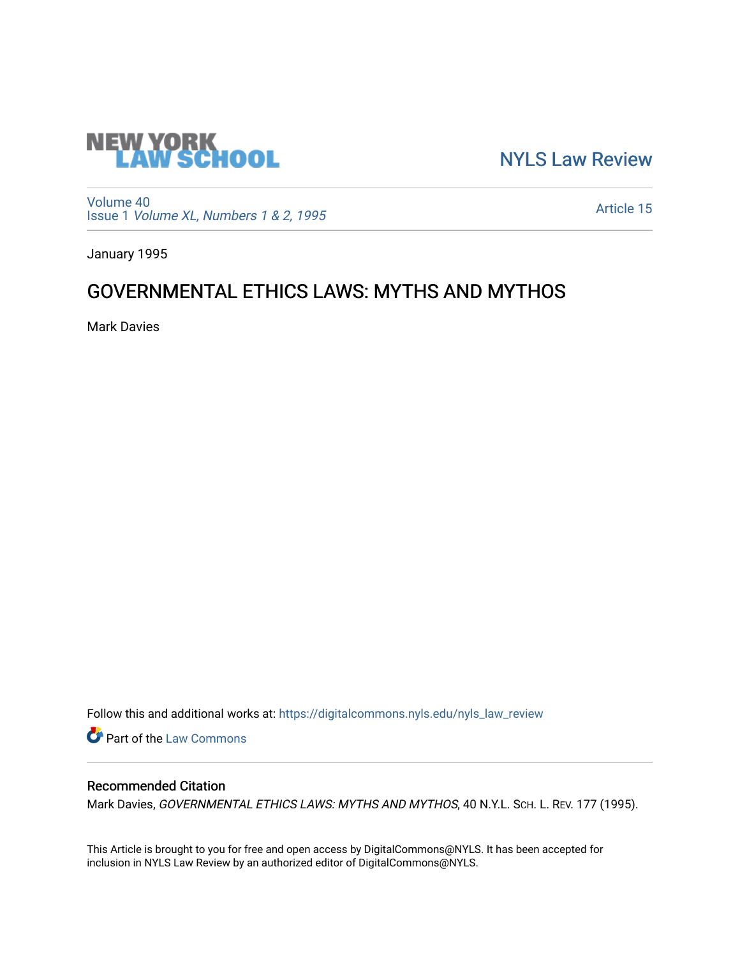

[NYLS Law Review](https://digitalcommons.nyls.edu/nyls_law_review) 

[Volume 40](https://digitalcommons.nyls.edu/nyls_law_review/vol40) Issue 1 [Volume XL, Numbers 1 & 2, 1995](https://digitalcommons.nyls.edu/nyls_law_review/vol40/iss1)

[Article 15](https://digitalcommons.nyls.edu/nyls_law_review/vol40/iss1/15) 

January 1995

# GOVERNMENTAL ETHICS LAWS: MYTHS AND MYTHOS

Mark Davies

Follow this and additional works at: [https://digitalcommons.nyls.edu/nyls\\_law\\_review](https://digitalcommons.nyls.edu/nyls_law_review?utm_source=digitalcommons.nyls.edu%2Fnyls_law_review%2Fvol40%2Fiss1%2F15&utm_medium=PDF&utm_campaign=PDFCoverPages) 

Part of the [Law Commons](https://network.bepress.com/hgg/discipline/578?utm_source=digitalcommons.nyls.edu%2Fnyls_law_review%2Fvol40%2Fiss1%2F15&utm_medium=PDF&utm_campaign=PDFCoverPages)

# Recommended Citation

Mark Davies, GOVERNMENTAL ETHICS LAWS: MYTHS AND MYTHOS, 40 N.Y.L. SCH. L. REV. 177 (1995).

This Article is brought to you for free and open access by DigitalCommons@NYLS. It has been accepted for inclusion in NYLS Law Review by an authorized editor of DigitalCommons@NYLS.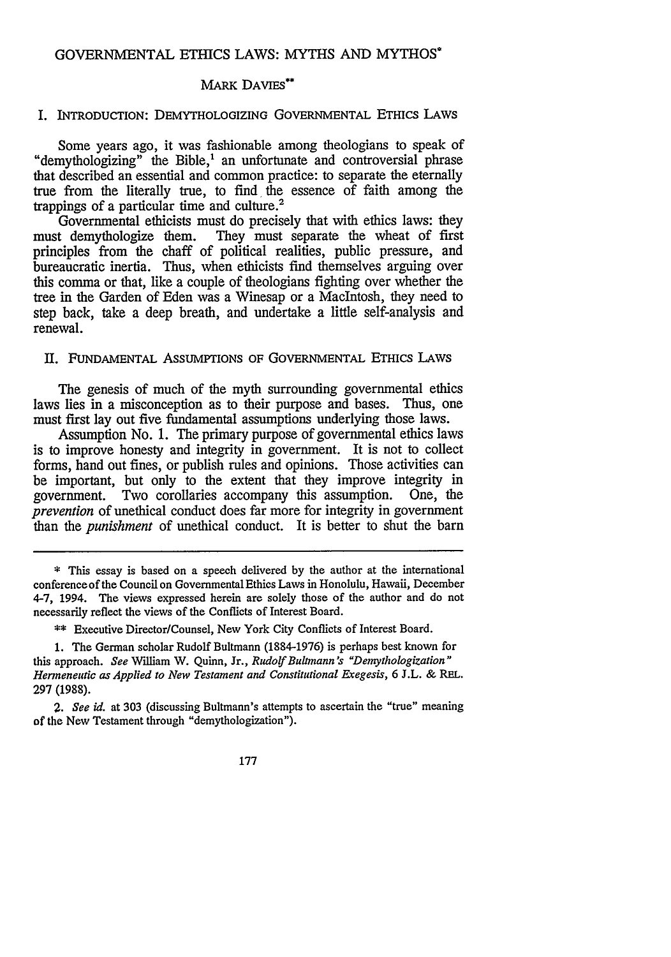#### GOVERNMENTAL ETHICS LAWS: MYTHS AND MYTHOS\*

#### MARK DAVIES\*\*

## I. INTRODUCTION: DEMYTHOLOGIZING GOVERNMENTAL ETHICS LAWS

Some years ago, it was fashionable among theologians to speak of "demythologizing" the Bible,<sup>1</sup> an unfortunate and controversial phrase that described an essential and common practice: to separate the eternally true from the literally true, to find the essence of faith among the trappings of a particular time and culture.<sup>2</sup>

Governmental ethicists must do precisely that with ethics laws: they must demythologize them. They must separate the wheat of first They must separate the wheat of first principles from the chaff of political realities, public pressure, and bureaucratic inertia. Thus, when ethicists find themselves arguing over this comma or that, like a couple of theologians fighting over whether the tree in the Garden of Eden was a Winesap or a MacIntosh, they need to step back, take a deep breath, and undertake a little self-analysis and renewal.

#### II. **FUNDAMENTAL** AsSUMPTIONS **OF GOVERNMENTAL** ETHICS LAWS

The genesis of much of the myth surrounding governmental ethics laws lies in a misconception as to their purpose and bases. Thus, one must first lay out five fundamental assumptions underlying those laws.

Assumption No. 1. The primary purpose of governmental ethics laws is to improve honesty and integrity in government. It is not to collect forms, hand out fines, or publish rules and opinions. Those activities can be important, but only to the extent that they improve integrity in government. Two corollaries accompany this assumption. One, the government. Two corollaries accompany this assumption. *prevention* of unethical conduct does far more for integrity in government than the *punishment* of unethical conduct. It is better to shut the barn

2. *See id.* at 303 (discussing Bultmann's attempts to ascertain the "true" meaning of the New Testament through "demythologization").

177

**<sup>\*</sup>** This essay is based on a speech delivered by the author at the international conference of the Council on Governmental Ethics Laws in Honolulu, Hawaii, December 4-7, 1994. The views expressed herein are solely those of the author and do not necessarily reflect the views of the Conflicts of Interest Board.

<sup>\*\*</sup> Executive Director/Counsel, New York City Conflicts of Interest Board.

<sup>1.</sup> The German scholar Rudolf Bultmann (1884-1976) is perhaps best known for this approach. *See* William W. Quinn, Jr., *Rudolf Bultmann's "Demythologization" Hermeneutic as Applied to New Testament and Constitutional Exegesis,* 6 J.L. & REL. 297 (1988).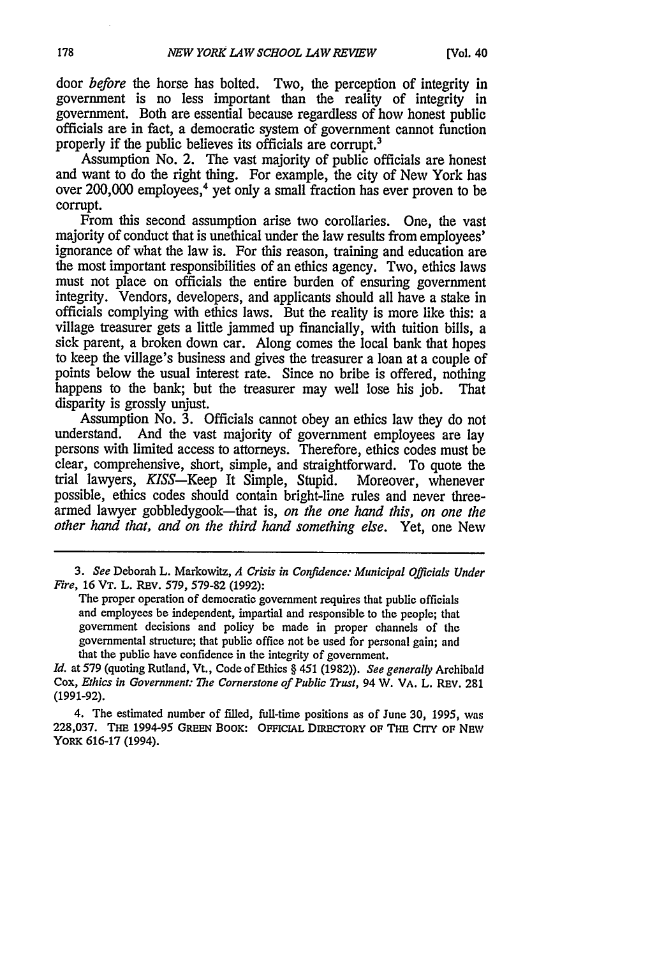door *before* the horse has bolted. Two, the perception of integrity in government is no less important than the reality of integrity in officials are in fact, a democratic system of government cannot function properly if the public believes its officials are corrupt.3

Assumption No. 2. The vast majority of public officials are honest and want to do the right thing. For example, the city of New York has over 200,000 employees,<sup>4</sup> yet only a small fraction has ever proven to be corrupt. From this second assumption arise two corollaries. One, the vast

majority of conduct that is unethical under the law results from employees' ignorance of what the law is. For this reason, training and education are the most important responsibilities of an ethics agency. Two, ethics laws must not place on officials the entire burden of ensuring government integrity. Vendors, developers, and applicants should all have a stake in officials complying with ethics laws. But the reality is more like this: a village treasurer gets a little jammed up financially, with tuition bills, a sick parent, a broken down car. Along comes the local bank that hopes to keep the village's business and gives the treasurer a loan at a couple of points below the usual interest rate. Since no bribe is offered, nothing happens to the bank; but the treasurer may well lose his job. That disparity is grossly unjust. Assumption No. 3. Officials cannot obey an ethics law they do not

understand. And the vast majority of government employees are lay persons with limited access to attorneys. Therefore, ethics codes must be clear, comprehensive, short, simple, and straightforward. To quote the trial lawyers, *KISS-Keep* It Simple, Stupid. Moreover, whenever possible, ethics codes should contain bright-line rules and never threearmed lawyer gobbledygook-that is, *on the one hand this, on one the other hand that, and on the third hand something else.* Yet, one New

*<sup>3.</sup> See* Deborah L. Markowitz, *A Crisis in Confidence: Municipal Officials Under Fire,* 16 VT. L. **REV.** 579, 579-82 (1992):

The proper operation of democratic government requires that public officials and employees be independent, impartial and responsible to the people; that government decisions and policy be made in proper channels of the governmental structure; that public office not be used for personal gain; and that the public have confidence in the integrity of government.

*Id.* at 579 (quoting Rutland, Vt., Code of Ethics § 451 (1982)). *See generally* Archibald Cox, *Ethics in Government: The Cornerstone of Public Trust,* 94 W. VA. L. REv. 281 (1991-92).

<sup>4.</sup> The estimated number of filled, full-time positions as of June 30, 1995, was 228,037. THE **1994-95 GREEN** BOOK: OFFICIAL DIRECTORY **OF** THE CITY **OF NEW** YORK 616-17 (1994).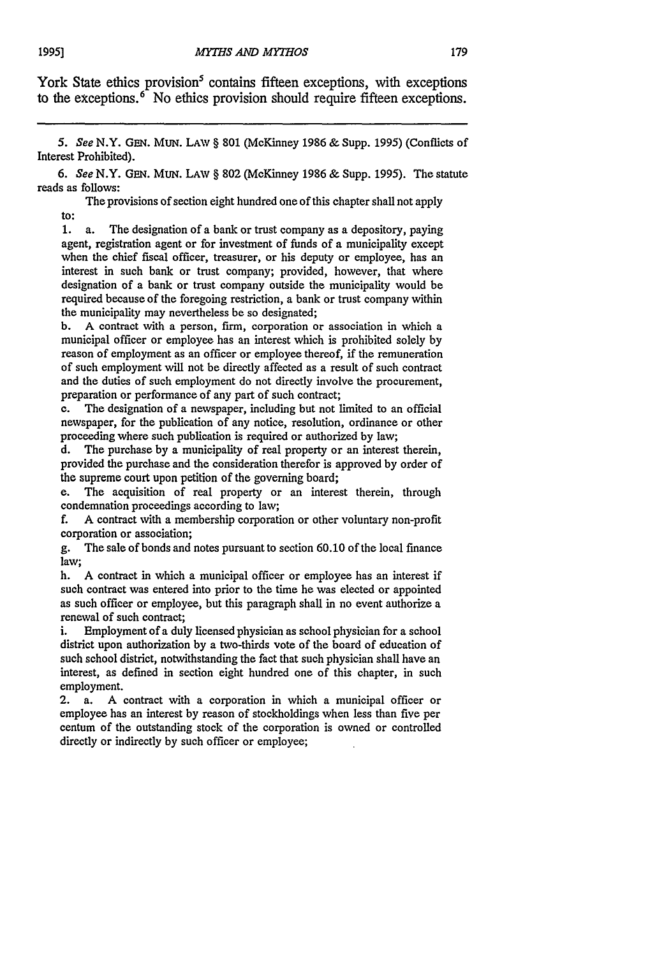York State ethics provision<sup>5</sup> contains fifteen exceptions, with exceptions to the exceptions.  $\delta$  No ethics provision should require fifteen exceptions.

*5. See* N.Y. GEN. MuN. LAW § 801 (MeKinney 1986 & Supp. 1995) (Conflicts of Interest Prohibited).

6. See N.Y. GEN. MUN. LAW § 802 (McKinney 1986 & Supp. 1995). The statute reads as follows:

The provisions of section eight hundred one of this chapter shall not apply to:

1. a. The designation of a bank or trust company as a depository, paying agent, registration agent or for investment of funds of a municipality except when the chief fiscal officer, treasurer, or his deputy or employee, has an interest in such bank or trust company; provided, however, that where designation of a bank or trust company outside the municipality would be required because of the foregoing restriction, a bank or trust company within the municipality may nevertheless be so designated;

b. A contract with a person, firm, corporation or association in which a municipal officer or employee has an interest which is prohibited solely by reason of employment as an officer or employee thereof, if the remuneration of such employment will not be directly affected as a result of such contract and the duties of such employment do not directly involve the procurement, preparation or performance of any part of such contract;

**c.** The designation of a newspaper, including but not limited to an official newspaper, for the publication of any notice, resolution, ordinance or other proceeding where such publication is required or authorized by law;

d. The purchase by a municipality of real property or an interest therein, provided the purchase and the consideration therefor is approved by order of the supreme court upon petition of the governing board;

e. The acquisition of real property or an interest therein, through condemnation proceedings according to law;

f. A contract with a membership corporation or other voluntary non-profit corporation or association;

g. The sale of bonds and notes pursuant to section 60.10 of the local finance law;

h. A contract in which a municipal officer or employee has an interest if such contract was entered into prior to the time he was elected or appointed as such officer or employee, but this paragraph shall in no event authorize a renewal of such contract;

i. Employment of a duly licensed physician as school physician for a school district upon authorization by a two-thirds vote of the board of education of such school district, notwithstanding the fact that such physician shall have an interest, as defined in section eight hundred one of this chapter, in such employment.

2. a. A contract with a corporation in which a municipal officer or employee has an interest by reason of stockholdings when less than five per centum of the outstanding stock of the corporation is owned or controlled directly or indirectly by such officer or employee;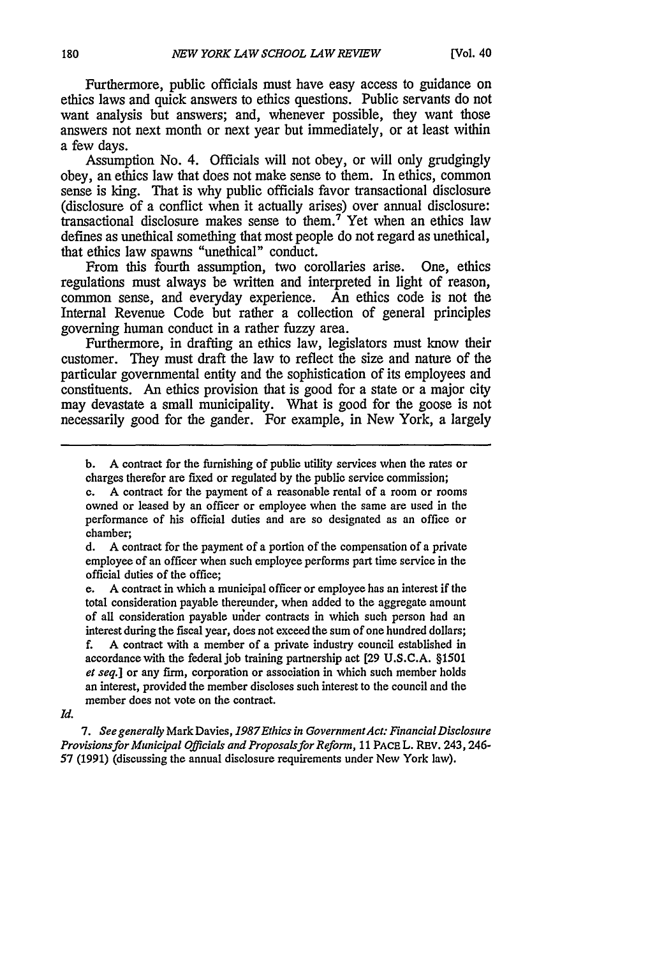Furthermore, public officials must have easy access to guidance on ethics laws and quick answers to ethics questions. Public servants do not want analysis but answers; and, whenever possible, they want those answers not next month or next year but immediately, or at least within a few days.

Assumption No. 4. Officials will not obey, or will only grudgingly obey, an ethics law that does not make sense to them. In ethics, common sense is king. That is why public officials favor transactional disclosure (disclosure of a conflict when it actually arises) over annual disclosure: transactional disclosure makes sense to them.7 Yet when an ethics law defines as unethical something that most people do not regard as unethical, that ethics law spawns "unethical" conduct.

From this fourth assumption, two corollaries arise. One, ethics regulations must always **be** written and interpreted in light of reason, common sense, and everyday experience. An ethics code is not the Internal Revenue Code but rather a collection of general principles governing human conduct in a rather fuzzy area.

Furthermore, in drafting an ethics law, legislators must know their customer. They must draft the law to reflect the size and nature of the particular governmental entity and the sophistication of its employees and constituents. An ethics provision that is good for a state or a major city may devastate a small municipality. What is good for the goose is not necessarily good for the gander. For example, in New York, a largely

d. A contract for the payment of a portion of the compensation of a private employee of an officer when such employee performs part time service in the official duties of the office;

e. A contract in which a municipal officer or employee has an interest if the total consideration payable thereunder, when added to the aggregate amount of all consideration payable un'der contracts in which such person had an interest during the fiscal year, does not exceed the sum of one hundred dollars; *f.* A contract with a member of a private industry council established in accordance with the federal job training partnership act **[29** U.S.C.A. §1501

*et seq.]* or any **firm,** corporation or association in which such member holds an interest, provided the member discloses such interest to the council and the member does not vote on the contract.

*Id.*

*7. See generally* Mark Davies, *1987Ethics in GovernmentAct: Financial Disclosure Provisionsfor Municipal Officials and Proposalsfor Reform,* 11 PACE L. **REV.** 243,246- 57 (1991) (discussing the annual disclosure requirements under New York law).

**b.** A contract for the furnishing of public utility services when the rates or charges therefor are fixed or regulated by the public service commission;

**a.** A contract for the payment of a reasonable rental of a room or rooms owned or leased by an officer or employee when the same are used in the performance of his official duties and are so designated as an office or chamber;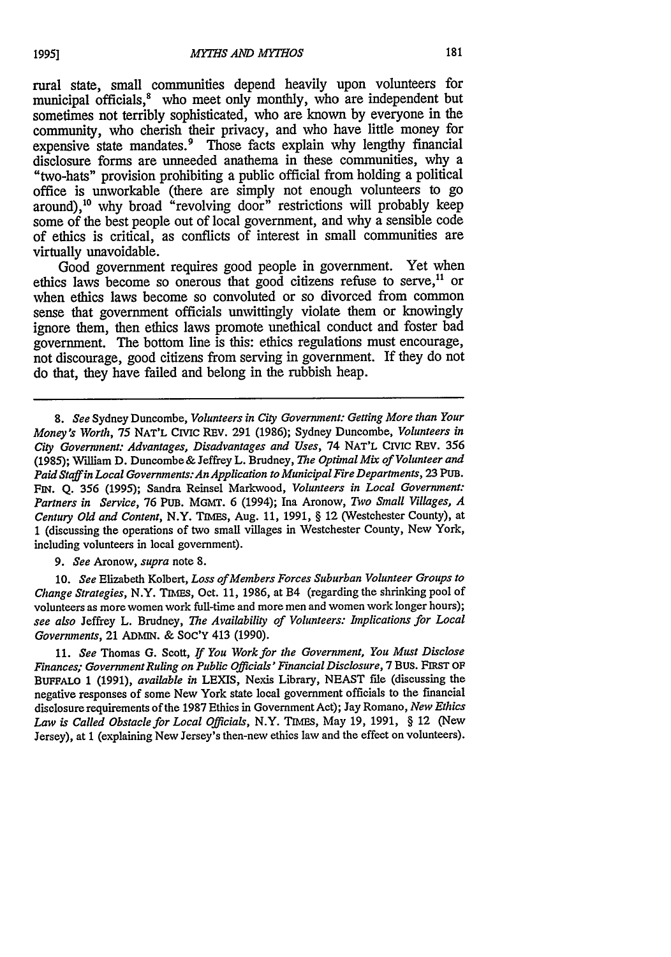rural state, small communities depend heavily upon volunteers for municipal officials,<sup>8</sup> who meet only monthly, who are independent but sometimes not terribly sophisticated, who are known by everyone in the community, who cherish their privacy, and who have little money for expensive state mandates.<sup>9</sup> Those facts explain why lengthy financial disclosure forms are unneeded anathema in these communities, why a "two-hats" provision prohibiting a public official from holding a political office is unworkable (there are simply not enough volunteers to go around),<sup>10</sup> why broad "revolving door" restrictions will probably keep some of the best people out of local government, and why a sensible code of ethics is critical, as conflicts of interest in small communities are virtually unavoidable.

Good government requires good people in government. Yet when ethics laws become so onerous that good citizens refuse to serve,<sup>11</sup> or when ethics laws become so convoluted or so divorced from common sense that government officials unwittingly violate them or knowingly ignore them, then ethics laws promote unethical conduct and foster bad government. The bottom line is this: ethics regulations must encourage, not discourage, good citizens from serving in government. If they do not do that, they have failed and belong in the rubbish heap.

8. *See* Sydney Duncombe, *Volunteers in City Government: Getting More than Your Money's Worth,* 75 **NAT'L** CIvic REv. **291** (1986); Sydney Duncombe, *Volunteers in City Government: Advantages, Disadvantages and Uses,* 74 **NAT'L** CivIC REv. **356** (1985); William D. Duncombe & Jeffrey L. Brudney, *The Optimal Mix of Volunteer and Paid Staff in Local Governments:An Application to Municipal Fire Departments,* **23** PUB. FIN. Q. 356 (1995); Sandra Reinsel Markwood, *Volunteers in Local Government: Partners in Service,* 76 PuB. MGMT. 6 (1994); Ina Aronow, *Two Small Villages, A Century Old and Content,* N.Y. TIMEs, Aug. **11,** 1991, § 12 (Westchester County), at 1 (discussing the operations of two small villages in Westchester County, New York, including volunteers in local government).

9. *See* Aronow, *supra* note 8.

10. *See* Elizabeth Kolbert, *Loss of Members Forces Suburban Volunteer Groups to Change Strategies,* N.Y. **TIMES,** Oct. 11, 1986, at B4 (regarding the shrinking pool of volunteers as more women work full-time and more men and women work longer hours); *see also* Jeffrey L. Brudney, *The Availability of Volunteers: Implications for Local Governments,* 21 ADMIN. & SOC'Y 413 (1990).

**11.** *See* Thomas **G.** Scott, *If You Work for the Government, You Must Disclose Finances; Government Ruling on Public Officials' Financial Disclosure,* **7** Bus. FIRST OF BUFFALO 1 (1991), *available in* LEXIS, Nexis Library, NEAST file (discussing the negative responses of some New York state local government officials to the financial disclosure requirements of the 1987 Ethics in Government Act); Jay Romano, *New Ethics Law is Called Obstacle for Local Officials,* N.Y. **TIMES,** May 19, 1991, § 12 (New Jersey), at 1 (explaining New Jersey's then-new ethics law and the effect on volunteers).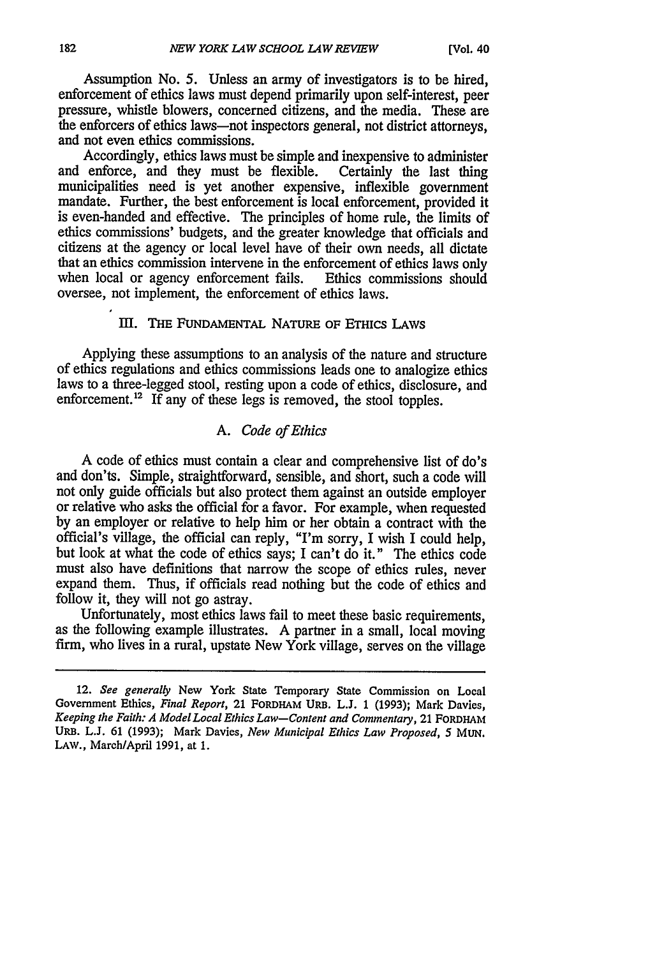Assumption No. **5.** Unless an army of investigators is to be hired, enforcement of ethics laws must depend primarily upon self-interest, peer pressure, whistle blowers, concerned citizens, and the media. These are the enforcers of ethics laws-not inspectors general, not district attorneys, and not even ethics commissions.

Accordingly, ethics laws must be simple and inexpensive to administer and enforce, and they must be flexible. Certainly the last thing municipalities need is yet another expensive, inflexible government mandate. Further, the best enforcement is local enforcement, provided it is even-handed and effective. The principles of home rule, the limits of ethics commissions' budgets, and the greater knowledge that officials and citizens at the agency or local level have of their own needs, all dictate that an ethics commission intervene in the enforcement of ethics laws only when local or agency enforcement fails. Ethics commissions should oversee, not implement, the enforcement of ethics laws.

## III. THE FUNDAMENTAL NATURE OF ETHICS LAWS

Applying these assumptions to an analysis of the nature and structure of ethics regulations and ethics commissions leads one to analogize ethics laws to a three-legged stool, resting upon a code of ethics, disclosure, and enforcement.<sup>12</sup> If any of these legs is removed, the stool topples.

#### *A. Code of Ethics*

A code of ethics must contain a clear and comprehensive list of do's and don'ts. Simple, straightforward, sensible, and short, such a code will not only guide officials but also protect them against an outside employer or relative who asks the official for a favor. For example, when requested by an employer or relative to help him or her obtain a contract with the official's village, the official can reply, "I'm sorry, I wish I could help, but look at what the code of ethics says; I can't do it." The ethics code must also have definitions that narrow the scope of ethics rules, never expand them. Thus, if officials read nothing but the code of ethics and follow it, they will not go astray.

Unfortunately, most ethics laws fail to meet these basic requirements, as the following example illustrates. A partner in a small, local moving firm, who lives in a rural, upstate New York village, serves on the village

*<sup>12.</sup> See generally* New York **State** Temporary State Commission on Local Government Ethics, *Final Report,* **21 FORDHAM URB. L.J. 1 (1993);** Mark Davies, *Keeping the Faith: A Model Local Ethics Law-Content and Commentary,* **21** FORDHAM URB. **L.J. 61 (1993);** Mark Davies, *New Municipal Ethics Law Proposed, 5* **MUN. LAW.,** March/April **1991,** at **1.**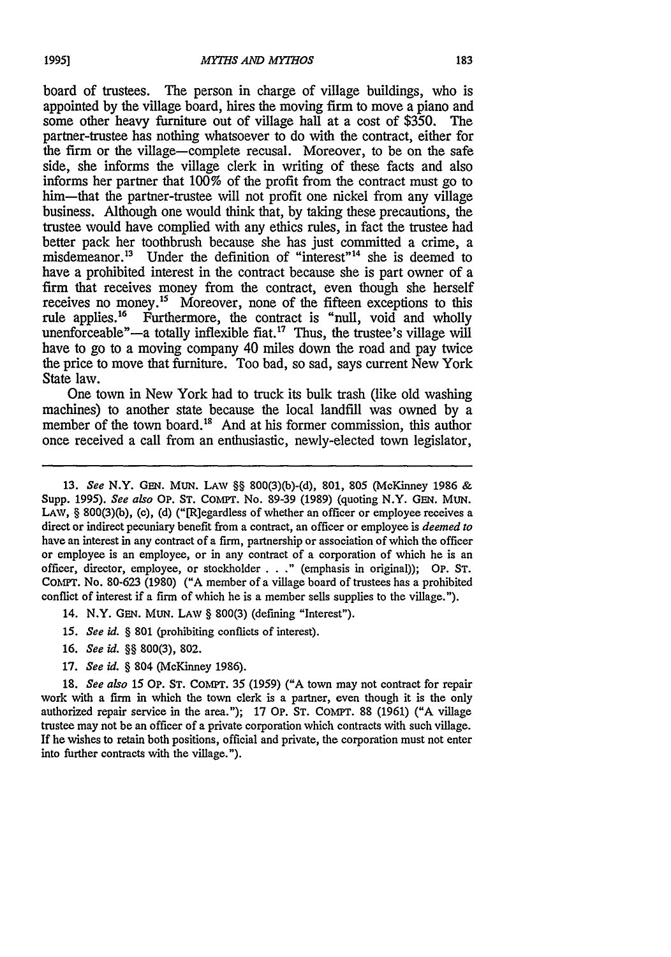board of trustees. The person in charge of village buildings, who is appointed by the village board, hires the moving firm to move a piano and some other heavy furniture out of village hall at a cost of \$350. The partner-trustee has nothing whatsoever to do with the contract, either for the firm or the village-complete recusal. Moreover, to be on the safe side, she informs the village clerk in writing of these facts and also informs her partner that 100% of the profit from the contract must go to him—that the partner-trustee will not profit one nickel from any village business. Although one would think that, by taking these precautions, the trustee would have complied with any ethics rules, in fact the trustee had better pack her toothbrush because she has just committed a crime, a misdemeanor.<sup>13</sup> Under the definition of "interest"<sup>14</sup> she is deemed to have a prohibited interest in the contract because she is part owner of a firm that receives money from the contract, even though she herself receives no money.<sup>15</sup> Moreover, none of the fifteen exceptions to this rule applies.<sup>16</sup> Furthermore, the contract is "null, void and wholly unenforceable"--a totally inflexible fiat.<sup>17</sup> Thus, the trustee's village will have to go to a moving company 40 miles down the road and pay twice the price to move that furniture. Too bad, so sad, says current New York State law.

One town in New York had to truck its bulk trash (like old washing machines) to another state because the local landfill was owned by a member of the town board.<sup>18</sup> And at his former commission, this author once received a call from an enthusiastic, newly-elected town legislator,

13. *See* N.Y. **GEN.** MUN. LAv 3§ 800(3)(b)-(d), **801, 805** (McKinney **1986** & Supp. **1995).** *See also* OP. ST. CoMnT. No. 89-39 (1989) (quoting N.Y. GEN. MUN. **LAW,** § 800(3)(b), (c), (d) ("[R]egardless of whether an officer or employee receives a direct or indirect pecuniary benefit from a contract, an officer or employee is *deemed to* have an interest in any contract of a firm, partnership or association of which the officer or employee is an employee, or in any contract of a corporation of which he is an officer, director, employee, or stockholder . . ." (emphasis in original)); OP. **ST.** COMrPT. No. 80-623 (1980) ("A member of a village board of trustees has a prohibited conflict of interest if a firm of which he is a member sells supplies to the village.").

- 14. N.Y. GEN. MUN. LAW § 800(3) (defining "Interest").
- *15. See id.* § **801** (prohibiting conflicts of interest).
- 16. *See id. §§* 800(3), **802.**
- 17. *See id.* § 804 (McKinney 1986).

**18.** *See also* 15 OP. ST. COMT. 35 (1959) ("A town may not contract for repair work with a firm in which the town clerk is a partner, even though it is the only authorized repair service in the area."); 17 OP. **ST.** COMPT. 88 (1961) ("A village trustee may not be an officer of a private corporation which contracts with such village. If he wishes to retain both positions, official and private, the corporation must not enter into further contracts with the village.").

**1995]**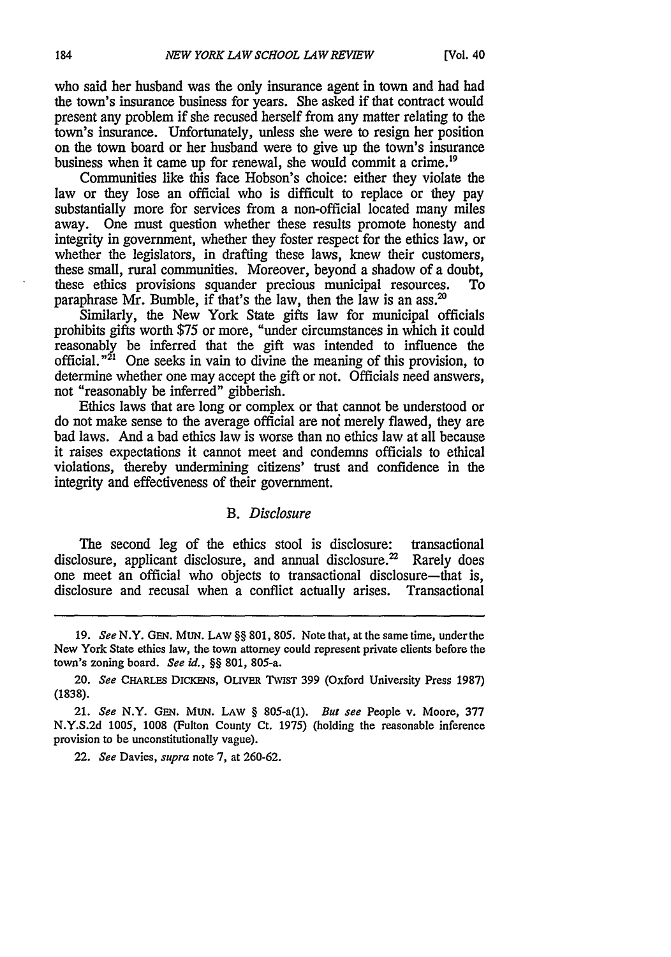who said her husband was the only insurance agent in town and had had the town's insurance business for years. She asked if that contract would present any problem if she recused herself from any matter relating to the town's insurance. Unfortunately, unless she were to resign her position on the town board or her husband were to give up the town's insurance business when it came up for renewal, she would commit a crime. <sup>19</sup>

Communities like this face Hobson's choice: either they violate the law or they lose an official who is difficult to replace or they pay substantially more for services from a non-official located many miles away. One must question whether these results promote honesty and integrity in government, whether they foster respect for the ethics law, or whether the legislators, in drafting these laws, knew their customers, these small, rural communities. Moreover, beyond a shadow of a doubt, these ethics provisions squander precious municipal resources. To paraphrase Mr. Bumble, if that's the law, then the law is an ass.<sup>20</sup>

Similarly, the New York State gifts law for municipal officials prohibits gifts worth \$75 or more, "under circumstances in which it could reasonably be inferred that the gift was intended to influence the official."<sup>21</sup> One seeks in vain to divine the meaning of this provision, to determine whether one may accept the gift or not. Officials need answers, not "reasonably be inferred" gibberish.

Ethics laws that are long or complex or that cannot be understood or do not make sense to the average official are noi merely flawed, they are bad laws. And a bad ethics law is worse than no ethics law at all because it raises expectations it cannot meet and condemns officials to ethical violations, thereby undermining citizens' trust and confidence in the integrity and effectiveness of their government.

#### *B. Disclosure*

The second leg of the ethics stool is disclosure: transactional disclosure, applicant disclosure, and annual disclosure.<sup>22</sup> Rarely does one meet an official who objects to transactional disclosure-that is, disclosure and recusal when a conflict actually arises. Transactional

<sup>19.</sup> *See* N.Y. GEN. MuN. LAW §§ 801,805. Note that, at the same time, under the New York State ethics law, the town attorney could represent private clients before the town's zoning board. *See id.,* §§ 801, 805-a.

*<sup>20.</sup> See* CHARLES DICKENS, OLIVER TWIST 399 (Oxford University Press 1987) (1838).

<sup>21.</sup> *See* N.Y. GEN. MuN. LAW § *805-a(1). But see* People v. Moore, 377 N.Y.S.2d 1005, 1008 (Fulton County Ct. **1975)** (holding the reasonable inference provision to be unconstitutionally vague).

<sup>22.</sup> *See* Davies, *supra* note 7, at 260-62.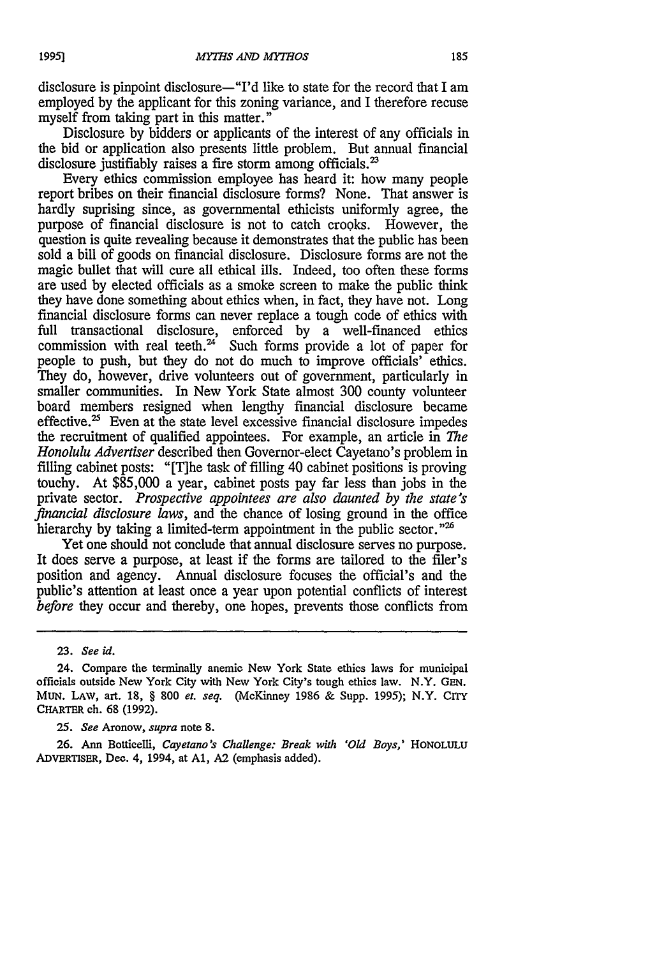disclosure is pinpoint disclosure—"I'd like to state for the record that I am employed by the applicant for this zoning variance, and I therefore recuse myself from taking part in this matter."

Disclosure by bidders or applicants of the interest of any officials in the bid or application also presents little problem. But annual financial disclosure justifiably raises a fire storm among officials.<sup>23</sup>

Every ethics commission employee has heard it: how many people report bribes on their financial disclosure forms? None. That answer is hardly suprising since, as governmental ethicists uniformly agree, the purpose of financial disclosure is not to catch crooks. However, the question is quite revealing because it demonstrates that the public has been sold a bill of goods on financial disclosure. Disclosure forms are not the magic bullet that will cure all ethical ills. Indeed, too often these forms are used by elected officials as a smoke screen to make the public think they have done something about ethics when, in fact, they have not. Long financial disclosure forms can never replace a tough code of ethics with full transactional disclosure, enforced by a well-financed ethics commission with real teeth. $24$  Such forms provide a lot of paper for people to push, but they do not do much to improve officials' ethics. They do, however, drive volunteers out of government, particularly in smaller communities. In New York State almost 300 county volunteer board members resigned when lengthy financial disclosure became effective.<sup>25</sup> Even at the state level excessive financial disclosure impedes the recruitment of qualified appointees. For example, an article in *The Honolulu Advertiser* described then Governor-elect Cayetano's problem in filling cabinet posts: "[T]he task of filling 40 cabinet positions is proving touchy. At \$85,000 a year, cabinet posts pay far less than jobs in the private sector. *Prospective appointees are also daunted by the state's financial disclosure laws,* and the chance of losing ground in the office hierarchy by taking a limited-term appointment in the public sector.<sup>"26</sup>

Yet one should not conclude that annual disclosure serves no purpose. It does serve a purpose, at least if the forms are tailored to the filer's position and agency. Annual disclosure focuses the official's and the public's attention at least once a year upon potential conflicts of interest *before* they occur and thereby, one hopes, prevents those conflicts from

**23.** *See id.*

*25. See* Aronow, *supra* note **8.**

**26.** Ann Botticelli, *Cayetano's Challenge: Break with 'Old Boys,'* HONOLULU ADvERTIsER, Dec. 4, 1994, at **Al, A2** (emphasis added).

<sup>24.</sup> Compare the terminally anemic New York State ethics laws for municipal officials outside New York City with New York City's tough ethics law. N.Y. **GEN.** MUN. **LAW,** art. **18,** § **800** *et. seq.* (McKinney **1986 &** Supp. **1995);** N.Y. **CrrY** CHARTER **ch. 68 (1992).**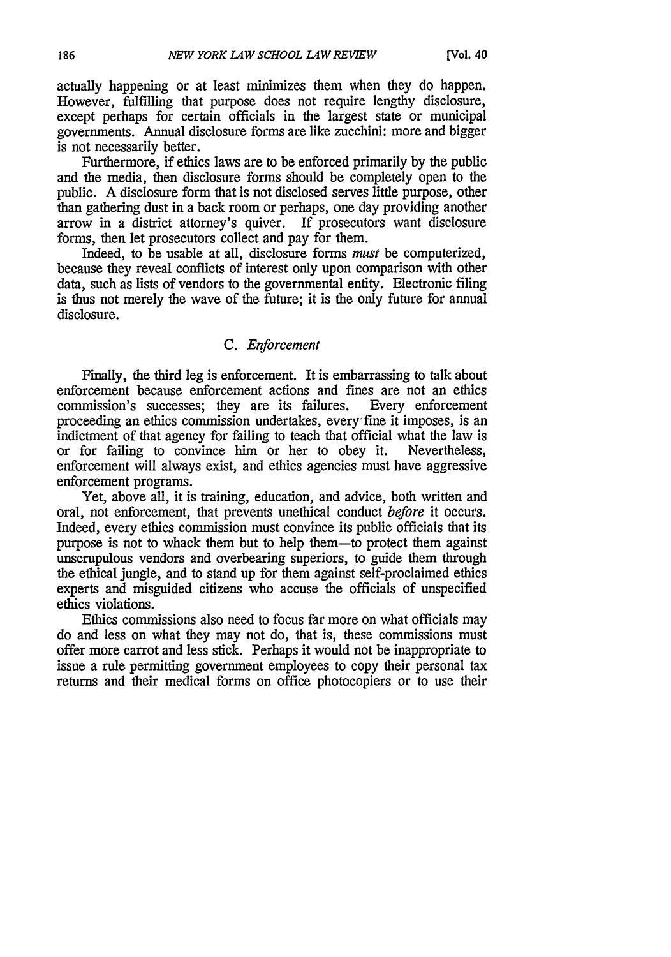actually happening or at least minimizes them when they do happen. However, fulfilling that purpose does not require lengthy disclosure, except perhaps for certain officials in the largest state or municipal governments. Annual disclosure forms are like zucchini: more and bigger is not necessarily better.

Furthermore, if ethics laws are to be enforced primarily by the public and the media, then disclosure forms should be completely open to the public. A disclosure form that is not disclosed serves little purpose, other than gathering dust in a back room or perhaps, one day providing another arrow in a district attorney's quiver. If prosecutors want disclosure forms, then let prosecutors collect and pay for them.

Indeed, to be usable at all, disclosure forms *must* be computerized, because they reveal conflicts of interest only upon comparison with other data, such as lists of vendors to the governmental entity. Electronic filing is thus not merely the wave of the future; it is the only future for annual disclosure.

#### *C. Enforcement*

Finally, the third leg is enforcement. It is embarrassing to talk about enforcement because enforcement actions and fines are not an ethics commission's successes; they are its failures. Every enforcement proceeding an ethics commission undertakes, every fine it imposes, is an indictment of that agency for failing to teach that official what the law is or for failing to convince him or her to obey it. Nevertheless, enforcement will always exist, and ethics agencies must have aggressive enforcement programs.

Yet, above all, it is training, education, and advice, both written and oral, not enforcement, that prevents unethical conduct *before* it occurs. Indeed, every ethics commission must convince its public officials that its purpose is not to whack them but to help them-to protect them against unscrupulous vendors and overbearing superiors, to guide them through the ethical jungle, and to stand up for them against self-proclaimed ethics experts and misguided citizens who accuse the officials of unspecified ethics violations.

Ethics commissions also need to focus far more on what officials may do and less on what they may not do, that is, these commissions must offer more carrot and less stick. Perhaps it would not be inappropriate to issue a rule permitting government employees to copy their personal tax returns and their medical forms on office photocopiers or to use their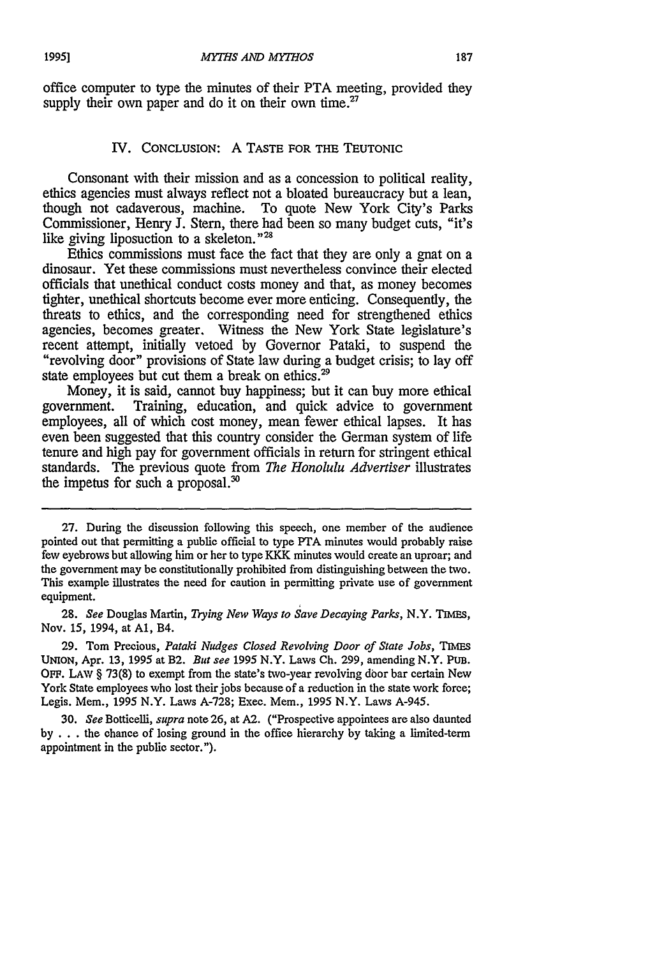office computer to type the minutes of their PTA meeting, provided they supply their own paper and do it on their own time.<sup>27</sup>

#### **IV. CONCLUSION: A TASTE** FOR THE TEUTONIC

Consonant with their mission and as a concession to political reality, ethics agencies must always reflect not a bloated bureaucracy but a lean, though not cadaverous, machine. To quote New York City's Parks Commissioner, Henry J. Stern, there had been so many budget cuts, "it's like giving liposuction to a skeleton."<sup>28</sup>

Ethics commissions must face the fact that they are only a gnat on a dinosaur. Yet these commissions must nevertheless convince their elected officials that unethical conduct costs money and that, as money becomes tighter, unethical shortcuts become ever more enticing. Consequently, the threats to ethics, and the corresponding need for strengthened ethics agencies, becomes greater. Witness the New York State legislature's recent attempt, initially vetoed by Governor Pataki, to suspend the "revolving door" provisions of State law during a budget crisis; to lay off state employees but cut them a break on ethics.<sup>29</sup>

Money, it is said, cannot buy happiness; but it can buy more ethical government. Training, education, and quick advice to government employees, all of which cost money, mean fewer ethical lapses. It has even been suggested that this country consider the German system of life tenure and high pay for government officials in return for stringent ethical standards. The previous quote from *The Honolulu Advertiser* illustrates the impetus for such a proposal.<sup>30</sup>

<sup>27.</sup> During the discussion following this speech, one member of the audience pointed out that permitting a public official to type PTA minutes would probably raise few eyebrows but allowing him or her to type KKK minutes would create an uproar; and the government may be constitutionally prohibited from distinguishing between the two. This example illustrates the need for caution in permitting private use of government equipment.

<sup>28.</sup> *See* Douglas Martin, *Trying New Ways to Save Decaying Parks,* N.Y. TIMES, Nov. *15,* 1994, at **Al,** B4.

<sup>29.</sup> Tom Precious, *Pataki Nudges Closed Revolving Door of State Jobs, TIMEs* UNIoN, Apr. 13, 1995 at B2. *But see* 1995 N.Y. Laws Ch. 299, amending N.Y. PUB. OFF. LAW § 73(8) to exempt from the state's two-year revolving door bar certain New York State employees who lost their jobs because of a reduction in the state work force; Legis. Mem., 1995 N.Y. Laws A-728; Exec. Mem., 1995 N.Y. Laws A-945.

<sup>30.</sup> *See* Botticelli, *supra* note 26, at *A2.* ("Prospective appointees are also daunted by . . . the chance of losing ground in the office hierarchy by taking a limited-term appointment in the public sector.").